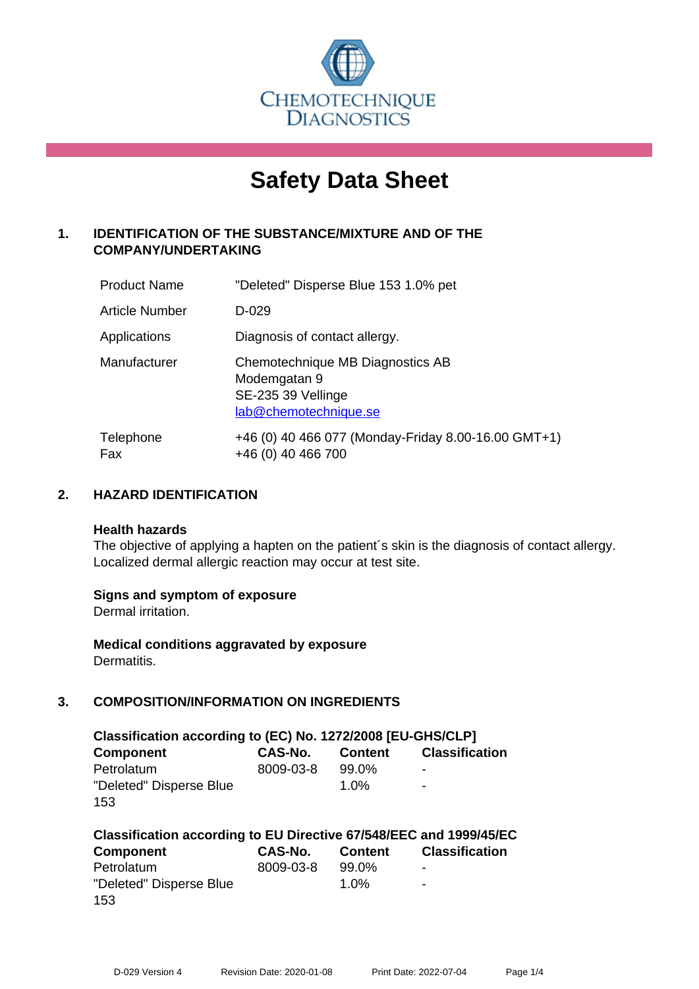

# **Safety Data Sheet**

# **1. IDENTIFICATION OF THE SUBSTANCE/MIXTURE AND OF THE COMPANY/UNDERTAKING**

| <b>Product Name</b> | "Deleted" Disperse Blue 153 1.0% pet                                                            |
|---------------------|-------------------------------------------------------------------------------------------------|
| Article Number      | D-029                                                                                           |
| Applications        | Diagnosis of contact allergy.                                                                   |
| Manufacturer        | Chemotechnique MB Diagnostics AB<br>Modemgatan 9<br>SE-235 39 Vellinge<br>lab@chemotechnique.se |
| Telephone<br>Fax    | +46 (0) 40 466 077 (Monday-Friday 8.00-16.00 GMT+1)<br>+46 (0) 40 466 700                       |

## **2. HAZARD IDENTIFICATION**

#### **Health hazards**

The objective of applying a hapten on the patient's skin is the diagnosis of contact allergy. Localized dermal allergic reaction may occur at test site.

## **Signs and symptom of exposure**

Dermal irritation.

**Medical conditions aggravated by exposure** Dermatitis.

# **3. COMPOSITION/INFORMATION ON INGREDIENTS**

| Classification according to (EC) No. 1272/2008 [EU-GHS/CLP] |           |                |                          |  |
|-------------------------------------------------------------|-----------|----------------|--------------------------|--|
| <b>Component</b>                                            | CAS-No.   | <b>Content</b> | <b>Classification</b>    |  |
| Petrolatum                                                  | 8009-03-8 | 99.0%          | $\overline{\phantom{0}}$ |  |
| "Deleted" Disperse Blue                                     |           | 1.0%           | $\overline{\phantom{a}}$ |  |
| 153                                                         |           |                |                          |  |

| Classification according to EU Directive 67/548/EEC and 1999/45/EC |           |                |                       |  |  |
|--------------------------------------------------------------------|-----------|----------------|-----------------------|--|--|
| Component                                                          | CAS-No.   | <b>Content</b> | <b>Classification</b> |  |  |
| Petrolatum                                                         | 8009-03-8 | 99.0%          | $\,$                  |  |  |
| "Deleted" Disperse Blue                                            |           | $1.0\%$        | $\blacksquare$        |  |  |
| 153                                                                |           |                |                       |  |  |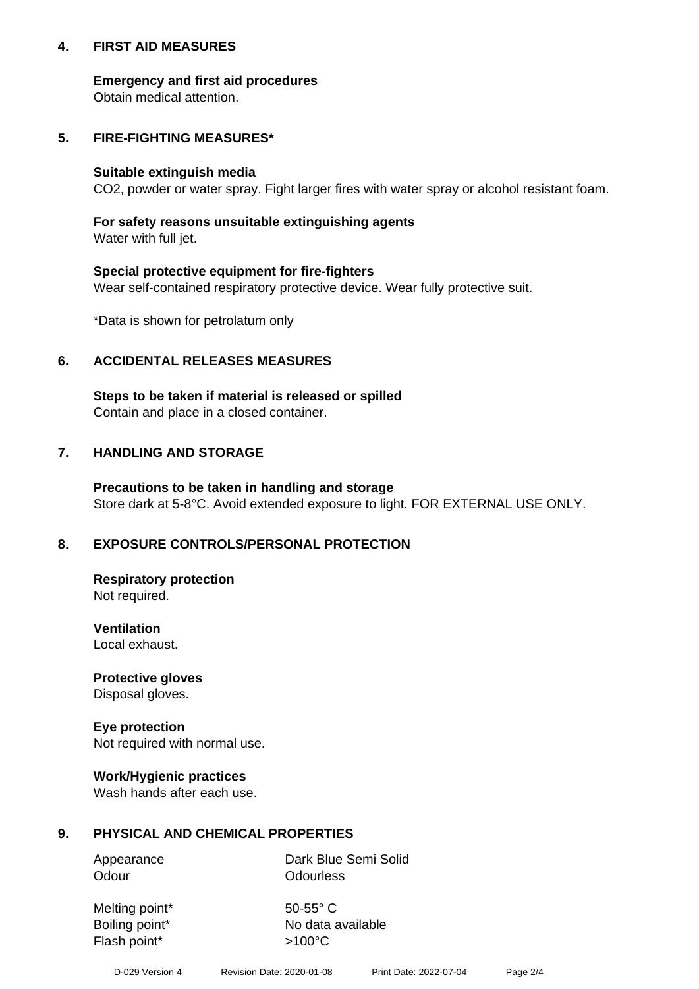## **4. FIRST AID MEASURES**

## **Emergency and first aid procedures**

Obtain medical attention.

## **5. FIRE-FIGHTING MEASURES\***

#### **Suitable extinguish media**

CO2, powder or water spray. Fight larger fires with water spray or alcohol resistant foam.

## **For safety reasons unsuitable extinguishing agents**

Water with full jet.

## **Special protective equipment for fire-fighters**

Wear self-contained respiratory protective device. Wear fully protective suit.

\*Data is shown for petrolatum only

## **6. ACCIDENTAL RELEASES MEASURES**

**Steps to be taken if material is released or spilled** Contain and place in a closed container.

## **7. HANDLING AND STORAGE**

**Precautions to be taken in handling and storage** Store dark at 5-8°C. Avoid extended exposure to light. FOR EXTERNAL USE ONLY.

# **8. EXPOSURE CONTROLS/PERSONAL PROTECTION**

**Respiratory protection** Not required.

**Ventilation** Local exhaust.

**Protective gloves** Disposal gloves.

#### **Eye protection** Not required with normal use.

## **Work/Hygienic practices**

Wash hands after each use.

## **9. PHYSICAL AND CHEMICAL PROPERTIES**

Odour **Odourless** 

Appearance Dark Blue Semi Solid

Melting point\* 50-55° C Flash point\*  $>100^{\circ}$ C

Boiling point\* No data available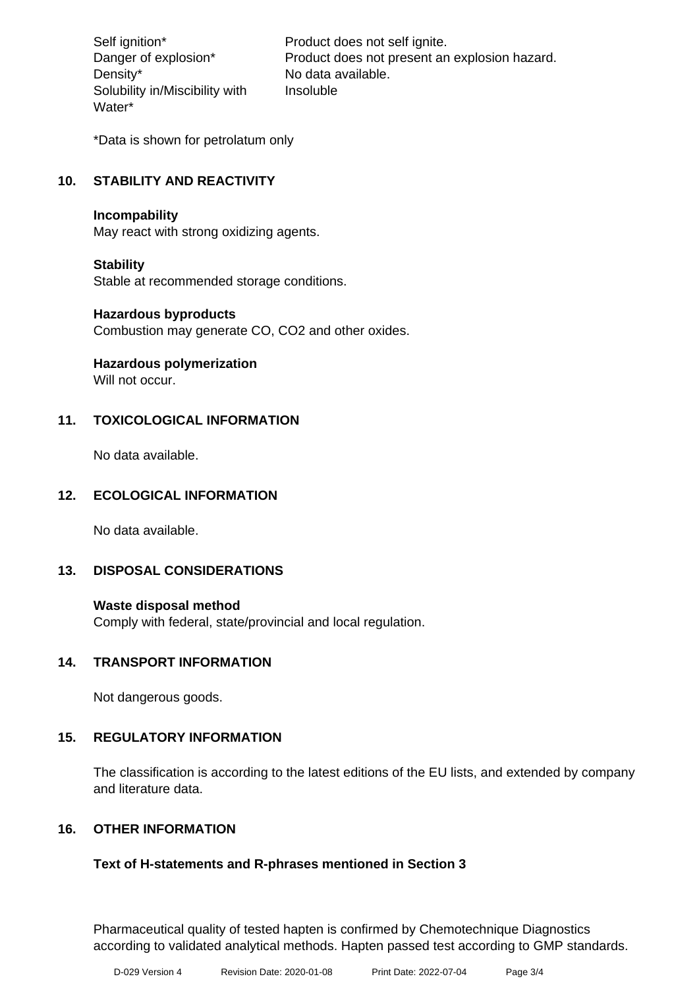Density\* No data available. Solubility in/Miscibility with Water\*

Self ignition\* Product does not self ignite. Danger of explosion\* Product does not present an explosion hazard. Insoluble

\*Data is shown for petrolatum only

# **10. STABILITY AND REACTIVITY**

#### **Incompability**

May react with strong oxidizing agents.

#### **Stability**

Stable at recommended storage conditions.

#### **Hazardous byproducts**

Combustion may generate CO, CO2 and other oxides.

**Hazardous polymerization**

Will not occur.

## **11. TOXICOLOGICAL INFORMATION**

No data available.

## **12. ECOLOGICAL INFORMATION**

No data available.

## **13. DISPOSAL CONSIDERATIONS**

#### **Waste disposal method**

Comply with federal, state/provincial and local regulation.

## **14. TRANSPORT INFORMATION**

Not dangerous goods.

## **15. REGULATORY INFORMATION**

The classification is according to the latest editions of the EU lists, and extended by company and literature data.

## **16. OTHER INFORMATION**

## **Text of H-statements and R-phrases mentioned in Section 3**

Pharmaceutical quality of tested hapten is confirmed by Chemotechnique Diagnostics according to validated analytical methods. Hapten passed test according to GMP standards.